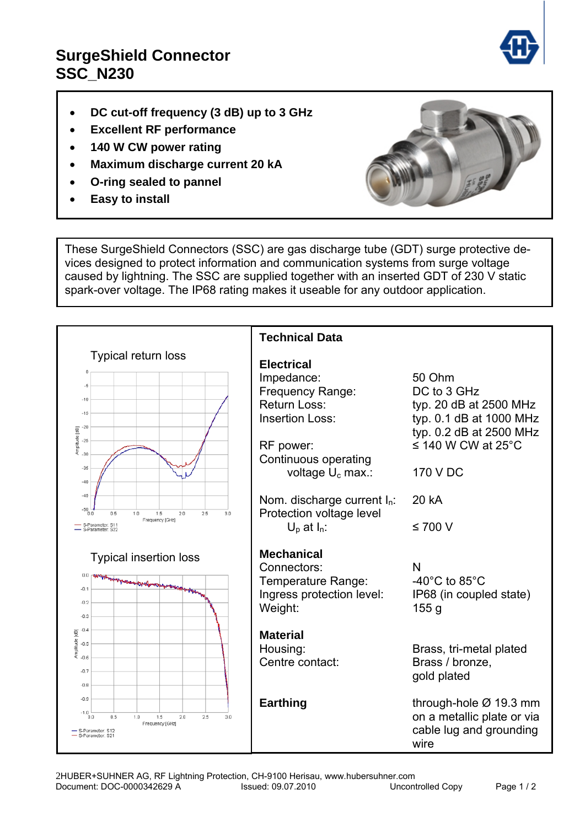## **SurgeShield Connector SSC\_N230**

- **DC cut-off frequency (3 dB) up to 3 GHz**
- **Excellent RF performance**
- **140 W CW power rating**
- **Maximum discharge current 20 kA**
- **O-ring sealed to pannel**
- **Easy to install**



These SurgeShield Connectors (SSC) are gas discharge tube (GDT) surge protective devices designed to protect information and communication systems from surge voltage caused by lightning. The SSC are supplied together with an inserted GDT of 230 V static spark-over voltage. The IP68 rating makes it useable for any outdoor application.